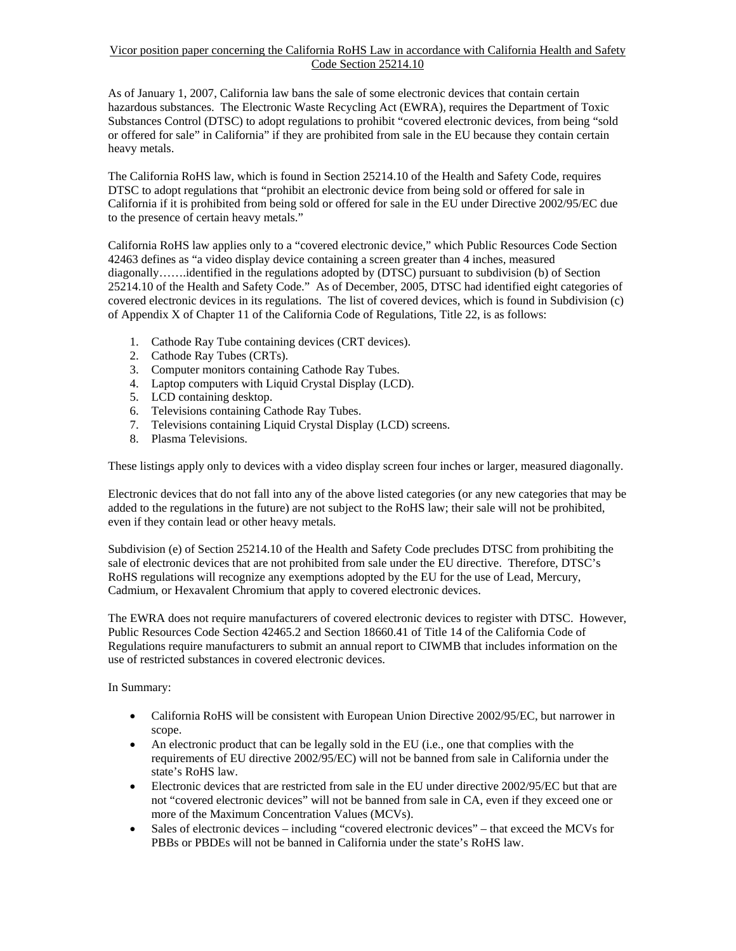## Vicor position paper concerning the California RoHS Law in accordance with California Health and Safety Code Section 25214.10

As of January 1, 2007, California law bans the sale of some electronic devices that contain certain hazardous substances. The Electronic Waste Recycling Act (EWRA), requires the Department of Toxic Substances Control (DTSC) to adopt regulations to prohibit "covered electronic devices, from being "sold or offered for sale" in California" if they are prohibited from sale in the EU because they contain certain heavy metals.

The California RoHS law, which is found in Section 25214.10 of the Health and Safety Code, requires DTSC to adopt regulations that "prohibit an electronic device from being sold or offered for sale in California if it is prohibited from being sold or offered for sale in the EU under Directive 2002/95/EC due to the presence of certain heavy metals."

California RoHS law applies only to a "covered electronic device," which Public Resources Code Section 42463 defines as "a video display device containing a screen greater than 4 inches, measured diagonally…….identified in the regulations adopted by (DTSC) pursuant to subdivision (b) of Section 25214.10 of the Health and Safety Code." As of December, 2005, DTSC had identified eight categories of covered electronic devices in its regulations. The list of covered devices, which is found in Subdivision (c) of Appendix X of Chapter 11 of the California Code of Regulations, Title 22, is as follows:

- 1. Cathode Ray Tube containing devices (CRT devices).
- 2. Cathode Ray Tubes (CRTs).
- 3. Computer monitors containing Cathode Ray Tubes.
- 4. Laptop computers with Liquid Crystal Display (LCD).
- 5. LCD containing desktop.
- 6. Televisions containing Cathode Ray Tubes.
- 7. Televisions containing Liquid Crystal Display (LCD) screens.
- 8. Plasma Televisions.

These listings apply only to devices with a video display screen four inches or larger, measured diagonally.

Electronic devices that do not fall into any of the above listed categories (or any new categories that may be added to the regulations in the future) are not subject to the RoHS law; their sale will not be prohibited, even if they contain lead or other heavy metals.

Subdivision (e) of Section 25214.10 of the Health and Safety Code precludes DTSC from prohibiting the sale of electronic devices that are not prohibited from sale under the EU directive. Therefore, DTSC's RoHS regulations will recognize any exemptions adopted by the EU for the use of Lead, Mercury, Cadmium, or Hexavalent Chromium that apply to covered electronic devices.

The EWRA does not require manufacturers of covered electronic devices to register with DTSC. However, Public Resources Code Section 42465.2 and Section 18660.41 of Title 14 of the California Code of Regulations require manufacturers to submit an annual report to CIWMB that includes information on the use of restricted substances in covered electronic devices.

In Summary:

- California RoHS will be consistent with European Union Directive 2002/95/EC, but narrower in scope.
- An electronic product that can be legally sold in the EU (i.e., one that complies with the requirements of EU directive 2002/95/EC) will not be banned from sale in California under the state's RoHS law.
- Electronic devices that are restricted from sale in the EU under directive 2002/95/EC but that are not "covered electronic devices" will not be banned from sale in CA, even if they exceed one or more of the Maximum Concentration Values (MCVs).
- Sales of electronic devices including "covered electronic devices" that exceed the MCVs for PBBs or PBDEs will not be banned in California under the state's RoHS law.